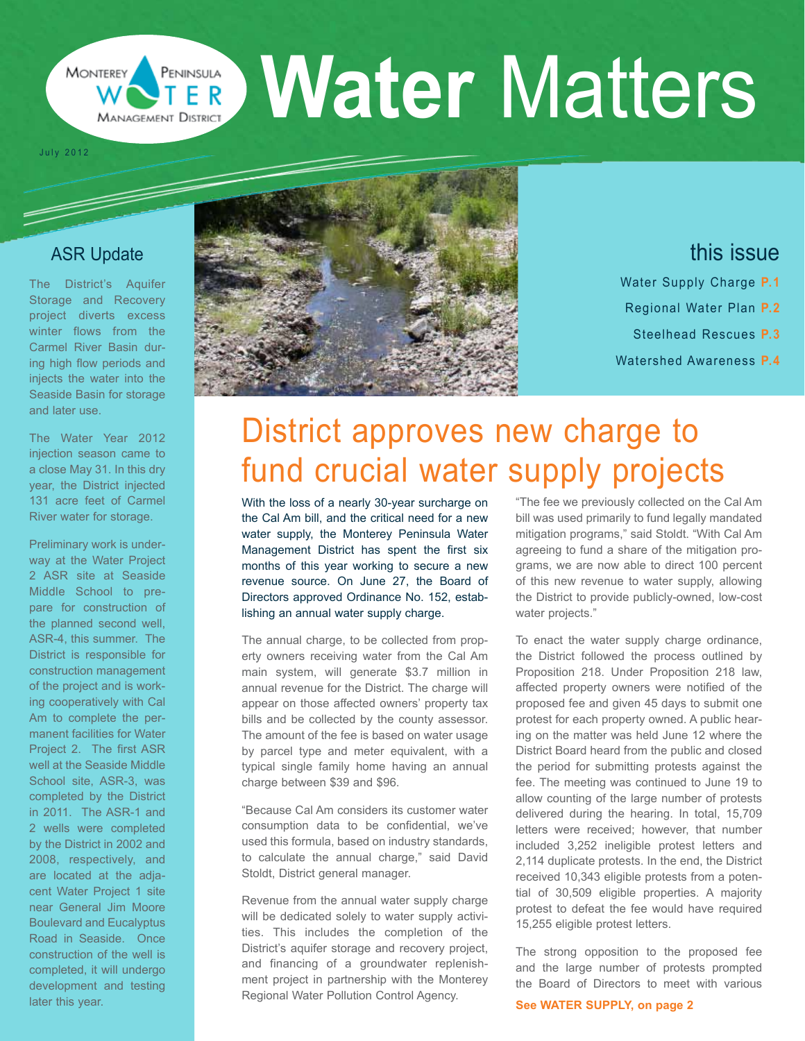#### **Water** Matters PENINSULA TER **MANAGEMENT DISTRICT**

July 2012

#### ASR Update

**MONTEREY** 

The District's Aquifer Storage and Recovery project diverts excess winter flows from the Carmel River Basin during high flow periods and injects the water into the Seaside Basin for storage and later use.

The Water Year 2012 injection season came to a close May 31. In this dry year, the District injected 131 acre feet of Carmel River water for storage.

Preliminary work is underway at the Water Project 2 ASR site at Seaside Middle School to prepare for construction of the planned second well, ASR-4, this summer. The District is responsible for construction management of the project and is working cooperatively with Cal Am to complete the permanent facilities for Water Project 2. The first ASR well at the Seaside Middle School site, ASR-3, was completed by the District in 2011. The ASR-1 and 2 wells were completed by the District in 2002 and 2008, respectively, and are located at the adjacent Water Project 1 site near General Jim Moore Boulevard and Eucalyptus Road in Seaside. Once construction of the well is completed, it will undergo development and testing later this year.



## this issue

- Water Supply Charge **P.1**
- Regional Water Plan **P.2**
- Steelhead Rescues **P.3**
- Watershed Awareness **P.4**

# District approves new charge to fund crucial water supply projects

With the loss of a nearly 30-year surcharge on the Cal Am bill, and the critical need for a new water supply, the Monterey Peninsula Water Management District has spent the first six months of this year working to secure a new revenue source. On June 27, the Board of Directors approved Ordinance No. 152, establishing an annual water supply charge.

The annual charge, to be collected from property owners receiving water from the Cal Am main system, will generate \$3.7 million in annual revenue for the District. The charge will appear on those affected owners' property tax bills and be collected by the county assessor. The amount of the fee is based on water usage by parcel type and meter equivalent, with a typical single family home having an annual charge between \$39 and \$96.

"Because Cal Am considers its customer water consumption data to be confidential, we've used this formula, based on industry standards, to calculate the annual charge," said David Stoldt, District general manager.

Revenue from the annual water supply charge will be dedicated solely to water supply activities. This includes the completion of the District's aquifer storage and recovery project, and financing of a groundwater replenishment project in partnership with the Monterey Regional Water Pollution Control Agency.

"The fee we previously collected on the Cal Am bill was used primarily to fund legally mandated mitigation programs," said Stoldt. "With Cal Am agreeing to fund a share of the mitigation programs, we are now able to direct 100 percent of this new revenue to water supply, allowing the District to provide publicly-owned, low-cost water projects."

To enact the water supply charge ordinance, the District followed the process outlined by Proposition 218. Under Proposition 218 law, affected property owners were notified of the proposed fee and given 45 days to submit one protest for each property owned. A public hearing on the matter was held June 12 where the District Board heard from the public and closed the period for submitting protests against the fee. The meeting was continued to June 19 to allow counting of the large number of protests delivered during the hearing. In total, 15,709 letters were received; however, that number included 3,252 ineligible protest letters and 2,114 duplicate protests. In the end, the District received 10,343 eligible protests from a potential of 30,509 eligible properties. A majority protest to defeat the fee would have required 15,255 eligible protest letters.

The strong opposition to the proposed fee and the large number of protests prompted the Board of Directors to meet with various

**See WATER SUPPLY, on page 2**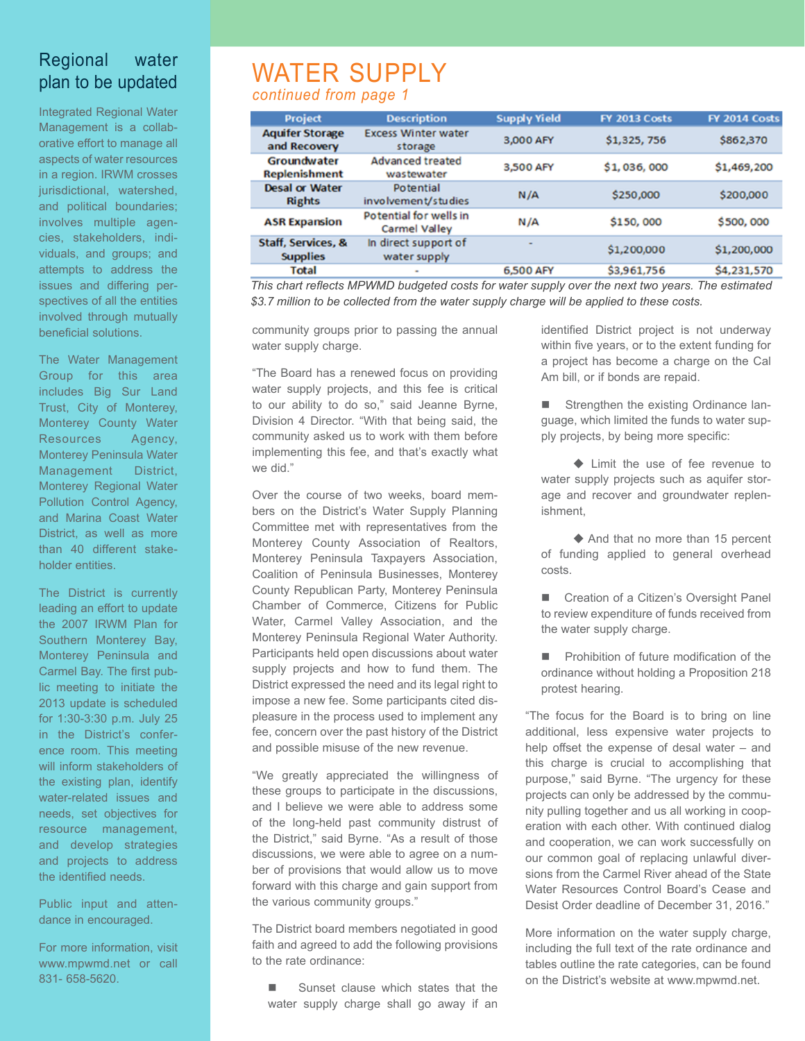#### Regional water plan to be updated

Integrated Regional Water Management is a collaborative effort to manage all aspects of water resources in a region. IRWM crosses jurisdictional, watershed, and political boundaries; involves multiple agencies, stakeholders, individuals, and groups; and attempts to address the issues and differing perspectives of all the entities involved through mutually beneficial solutions.

The Water Management Group for this area includes Big Sur Land Trust, City of Monterey, Monterey County Water Resources Agency, Monterey Peninsula Water Management District, Monterey Regional Water Pollution Control Agency, and Marina Coast Water District, as well as more than 40 different stakeholder entities.

The District is currently leading an effort to update the 2007 IRWM Plan for Southern Monterey Bay, Monterey Peninsula and Carmel Bay. The first public meeting to initiate the 2013 update is scheduled for 1:30-3:30 p.m. July 25 in the District's conference room. This meeting will inform stakeholders of the existing plan, identify water-related issues and needs, set objectives for resource management, and develop strategies and projects to address the identified needs.

Public input and attendance in encouraged.

For more information, visit www.mpwmd.net or call 831- 658-5620.

### WATER SUPPLY *continued from page 1*

| Project                                | <b>Description</b>                             | <b>Supply Yield</b> | <b>FY 2013 Costs</b> | <b>FY 2014 Costs</b> |
|----------------------------------------|------------------------------------------------|---------------------|----------------------|----------------------|
| <b>Aquifer Storage</b><br>and Recovery | <b>Excess Winter water</b><br>storage          | 3,000 AFY           | \$1,325,756          | \$862,370            |
| Groundwater<br><b>Replenishment</b>    | Advanced treated<br>wastewater                 | 3,500 AFY           | \$1,036,000          | \$1,469,200          |
| <b>Desal or Water</b><br><b>Rights</b> | Potential<br>involvement/studies               | N/A                 | \$250,000            | \$200,000            |
| <b>ASR Expansion</b>                   | Potential for wells in<br><b>Carmel Valley</b> | N/A                 | \$150,000            | \$500,000            |
| Staff, Services, &<br><b>Supplies</b>  | In direct support of<br>water supply           |                     | \$1,200,000          | \$1,200,000          |
| <b>Total</b>                           | ۰                                              | 6,500 AFY           | \$3,961,756          | \$4,231,570          |

*This chart reflects MPWMD budgeted costs for water supply over the next two years. The estimated \$3.7 million to be collected from the water supply charge will be applied to these costs.*

community groups prior to passing the annual water supply charge.

"The Board has a renewed focus on providing water supply projects, and this fee is critical to our ability to do so," said Jeanne Byrne, Division 4 Director. "With that being said, the community asked us to work with them before implementing this fee, and that's exactly what we did."

Over the course of two weeks, board members on the District's Water Supply Planning Committee met with representatives from the Monterey County Association of Realtors, Monterey Peninsula Taxpayers Association, Coalition of Peninsula Businesses, Monterey County Republican Party, Monterey Peninsula Chamber of Commerce, Citizens for Public Water, Carmel Valley Association, and the Monterey Peninsula Regional Water Authority. Participants held open discussions about water supply projects and how to fund them. The District expressed the need and its legal right to impose a new fee. Some participants cited displeasure in the process used to implement any fee, concern over the past history of the District and possible misuse of the new revenue.

"We greatly appreciated the willingness of these groups to participate in the discussions, and I believe we were able to address some of the long-held past community distrust of the District," said Byrne. "As a result of those discussions, we were able to agree on a number of provisions that would allow us to move forward with this charge and gain support from the various community groups."

The District board members negotiated in good faith and agreed to add the following provisions to the rate ordinance:

■ Sunset clause which states that the water supply charge shall go away if an identified District project is not underway within five years, or to the extent funding for a project has become a charge on the Cal Am bill, or if bonds are repaid.

**n** Strengthen the existing Ordinance language, which limited the funds to water supply projects, by being more specific:

 $\blacklozenge$  Limit the use of fee revenue to water supply projects such as aquifer storage and recover and groundwater replenishment,

 $\triangle$  And that no more than 15 percent of funding applied to general overhead costs.

■ Creation of a Citizen's Oversight Panel to review expenditure of funds received from the water supply charge.

**n** Prohibition of future modification of the ordinance without holding a Proposition 218 protest hearing.

"The focus for the Board is to bring on line additional, less expensive water projects to help offset the expense of desal water – and this charge is crucial to accomplishing that purpose," said Byrne. "The urgency for these projects can only be addressed by the community pulling together and us all working in cooperation with each other. With continued dialog and cooperation, we can work successfully on our common goal of replacing unlawful diversions from the Carmel River ahead of the State Water Resources Control Board's Cease and Desist Order deadline of December 31, 2016."

More information on the water supply charge, including the full text of the rate ordinance and tables outline the rate categories, can be found on the District's website at www.mpwmd.net.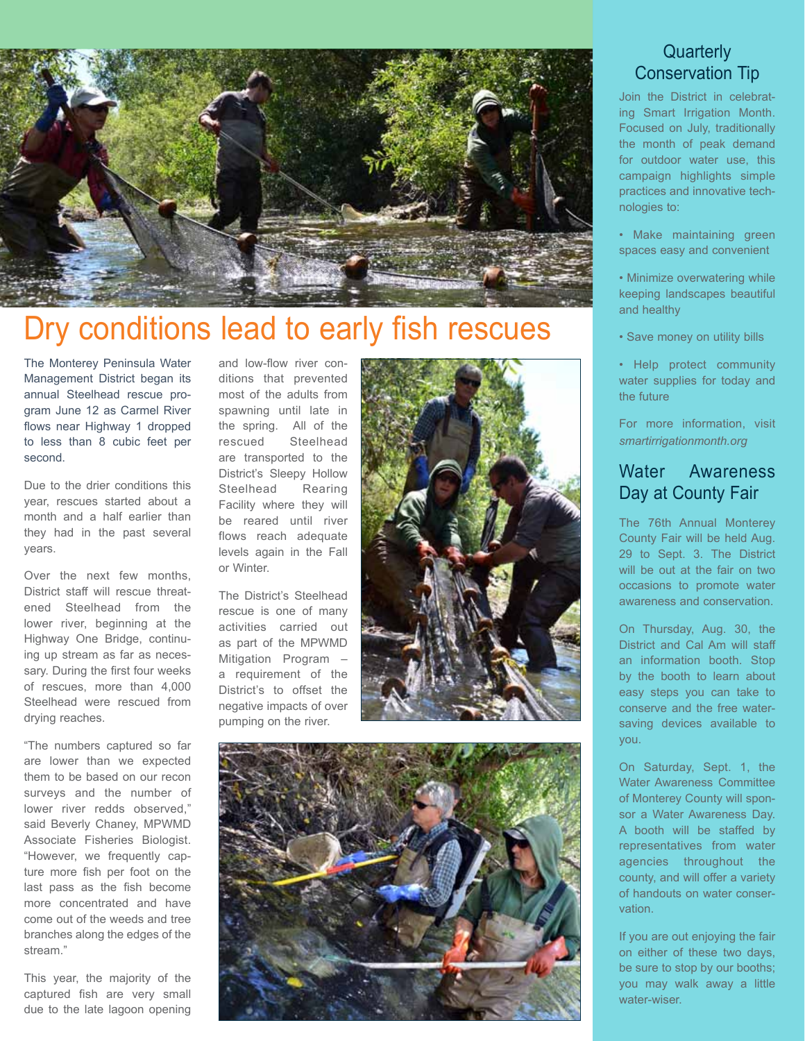

# Dry conditions lead to early fish rescues

The Monterey Peninsula Water Management District began its annual Steelhead rescue program June 12 as Carmel River flows near Highway 1 dropped to less than 8 cubic feet per second.

Due to the drier conditions this year, rescues started about a month and a half earlier than they had in the past several years.

Over the next few months, District staff will rescue threatened Steelhead from the lower river, beginning at the Highway One Bridge, continuing up stream as far as necessary. During the first four weeks of rescues, more than 4,000 Steelhead were rescued from drying reaches.

"The numbers captured so far are lower than we expected them to be based on our recon surveys and the number of lower river redds observed," said Beverly Chaney, MPWMD Associate Fisheries Biologist. "However, we frequently capture more fish per foot on the last pass as the fish become more concentrated and have come out of the weeds and tree branches along the edges of the stream."

This year, the majority of the captured fish are very small due to the late lagoon opening

and low-flow river conditions that prevented most of the adults from spawning until late in the spring. All of the rescued Steelhead are transported to the District's Sleepy Hollow Steelhead Rearing Facility where they will be reared until river flows reach adequate levels again in the Fall or Winter.

The District's Steelhead rescue is one of many activities carried out as part of the MPWMD Mitigation Program – a requirement of the District's to offset the negative impacts of over pumping on the river.





#### **Quarterly** Conservation Tip

Join the District in celebrating Smart Irrigation Month. Focused on July, traditionally the month of peak demand for outdoor water use, this campaign highlights simple practices and innovative technologies to:

- Make maintaining green spaces easy and convenient
- Minimize overwatering while keeping landscapes beautiful and healthy
- Save money on utility bills
- Help protect community water supplies for today and the future

For more information, visit *smartirrigationmonth.org*

#### Water Awareness Day at County Fair

The 76th Annual Monterey County Fair will be held Aug. 29 to Sept. 3. The District will be out at the fair on two occasions to promote water awareness and conservation.

On Thursday, Aug. 30, the District and Cal Am will staff an information booth. Stop by the booth to learn about easy steps you can take to conserve and the free watersaving devices available to you.

On Saturday, Sept. 1, the Water Awareness Committee of Monterey County will sponsor a Water Awareness Day. A booth will be staffed by representatives from water agencies throughout the county, and will offer a variety of handouts on water conservation.

If you are out enjoying the fair on either of these two days, be sure to stop by our booths; you may walk away a little water-wiser.